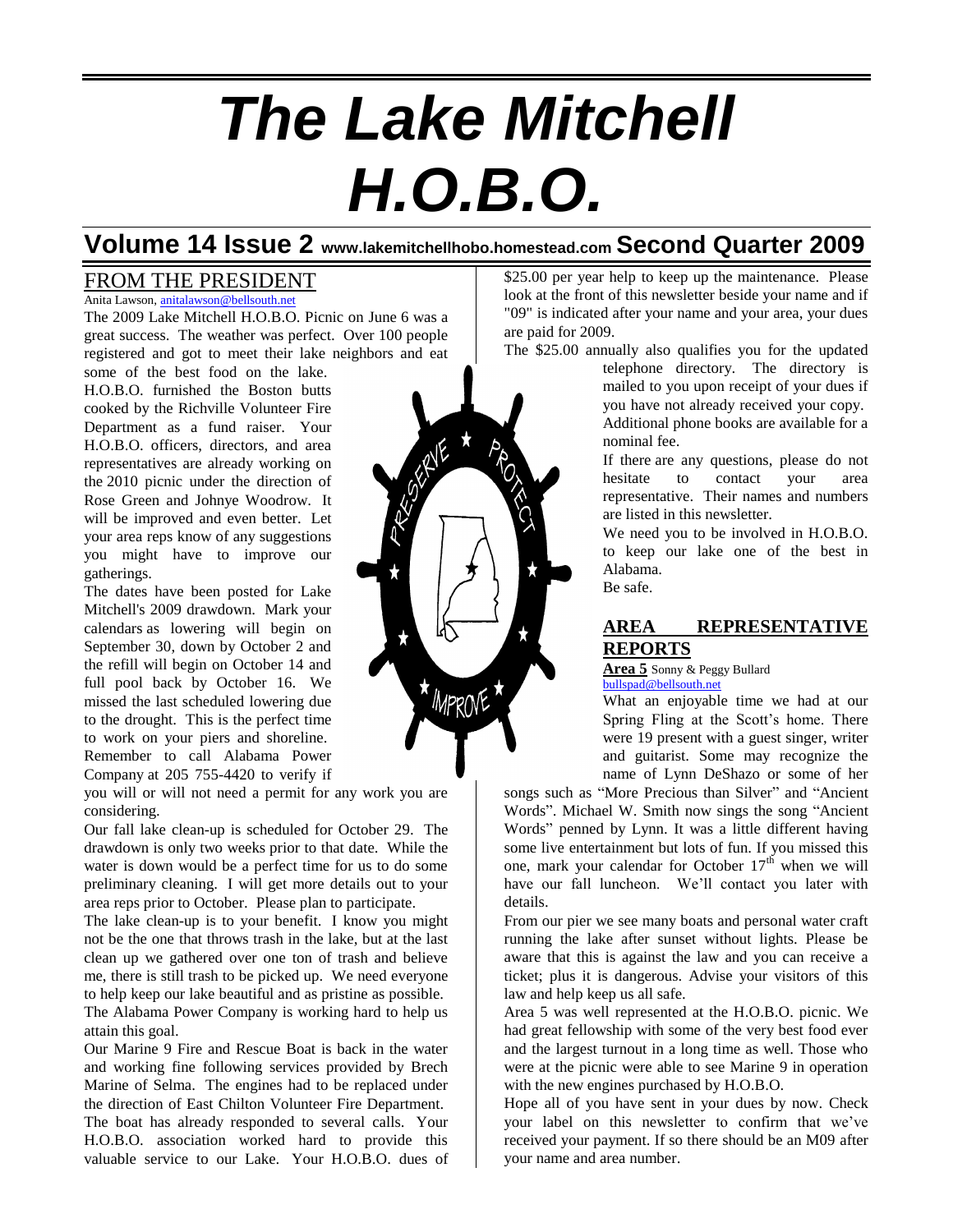# *The Lake Mitchell H.O.B.O.*

## **Volume 14 Issue 2 www.lakemitchellhobo.homestead.com Second Quarter 2009**

## FROM THE PRESIDENT

Anita Lawson, [anitalawson@bellsouth.net](mailto:anitalawson@bellsouth.net) The 2009 Lake Mitchell H.O.B.O. Picnic on June 6 was a great success. The weather was perfect. Over 100 people registered and got to meet their lake neighbors and eat

some of the best food on the lake. H.O.B.O. furnished the Boston butts cooked by the Richville Volunteer Fire Department as a fund raiser. Your H.O.B.O. officers, directors, and area representatives are already working on the 2010 picnic under the direction of Rose Green and Johnye Woodrow. It will be improved and even better. Let your area reps know of any suggestions you might have to improve our gatherings.

The dates have been posted for Lake Mitchell's 2009 drawdown. Mark your calendars as lowering will begin on September 30, down by October 2 and the refill will begin on October 14 and full pool back by October 16. We missed the last scheduled lowering due to the drought. This is the perfect time to work on your piers and shoreline. Remember to call Alabama Power Company at 205 755-4420 to verify if

you will or will not need a permit for any work you are considering.

Our fall lake clean-up is scheduled for October 29. The drawdown is only two weeks prior to that date. While the water is down would be a perfect time for us to do some preliminary cleaning. I will get more details out to your area reps prior to October. Please plan to participate.

The lake clean-up is to your benefit. I know you might not be the one that throws trash in the lake, but at the last clean up we gathered over one ton of trash and believe me, there is still trash to be picked up. We need everyone to help keep our lake beautiful and as pristine as possible. The Alabama Power Company is working hard to help us attain this goal.

Our Marine 9 Fire and Rescue Boat is back in the water and working fine following services provided by Brech Marine of Selma. The engines had to be replaced under the direction of East Chilton Volunteer Fire Department. The boat has already responded to several calls. Your H.O.B.O. association worked hard to provide this valuable service to our Lake. Your H.O.B.O. dues of \$25.00 per year help to keep up the maintenance. Please look at the front of this newsletter beside your name and if "09" is indicated after your name and your area, your dues are paid for 2009.

The \$25.00 annually also qualifies you for the updated telephone directory. The directory is mailed to you upon receipt of your dues if you have not already received your copy. Additional phone books are available for a nominal fee.

> If there are any questions, please do not hesitate to contact your area representative. Their names and numbers are listed in this newsletter.

> We need you to be involved in H.O.B.O. to keep our lake one of the best in Alabama.

Be safe.

### **AREA REPRESENTATIVE REPORTS**

**Area 5** Sonny & Peggy Bullard [bullspad@bellsouth.net](mailto:bullspad@bellsouth.net)

What an enjoyable time we had at our Spring Fling at the Scott's home. There were 19 present with a guest singer, writer and guitarist. Some may recognize the name of Lynn DeShazo or some of her

songs such as "More Precious than Silver" and "Ancient Words". Michael W. Smith now sings the song "Ancient Words" penned by Lynn. It was a little different having some live entertainment but lots of fun. If you missed this one, mark your calendar for October  $17<sup>th</sup>$  when we will have our fall luncheon. We'll contact you later with details.

From our pier we see many boats and personal water craft running the lake after sunset without lights. Please be aware that this is against the law and you can receive a ticket; plus it is dangerous. Advise your visitors of this law and help keep us all safe.

Area 5 was well represented at the H.O.B.O. picnic. We had great fellowship with some of the very best food ever and the largest turnout in a long time as well. Those who were at the picnic were able to see Marine 9 in operation with the new engines purchased by H.O.B.O.

Hope all of you have sent in your dues by now. Check your label on this newsletter to confirm that we've received your payment. If so there should be an M09 after your name and area number.

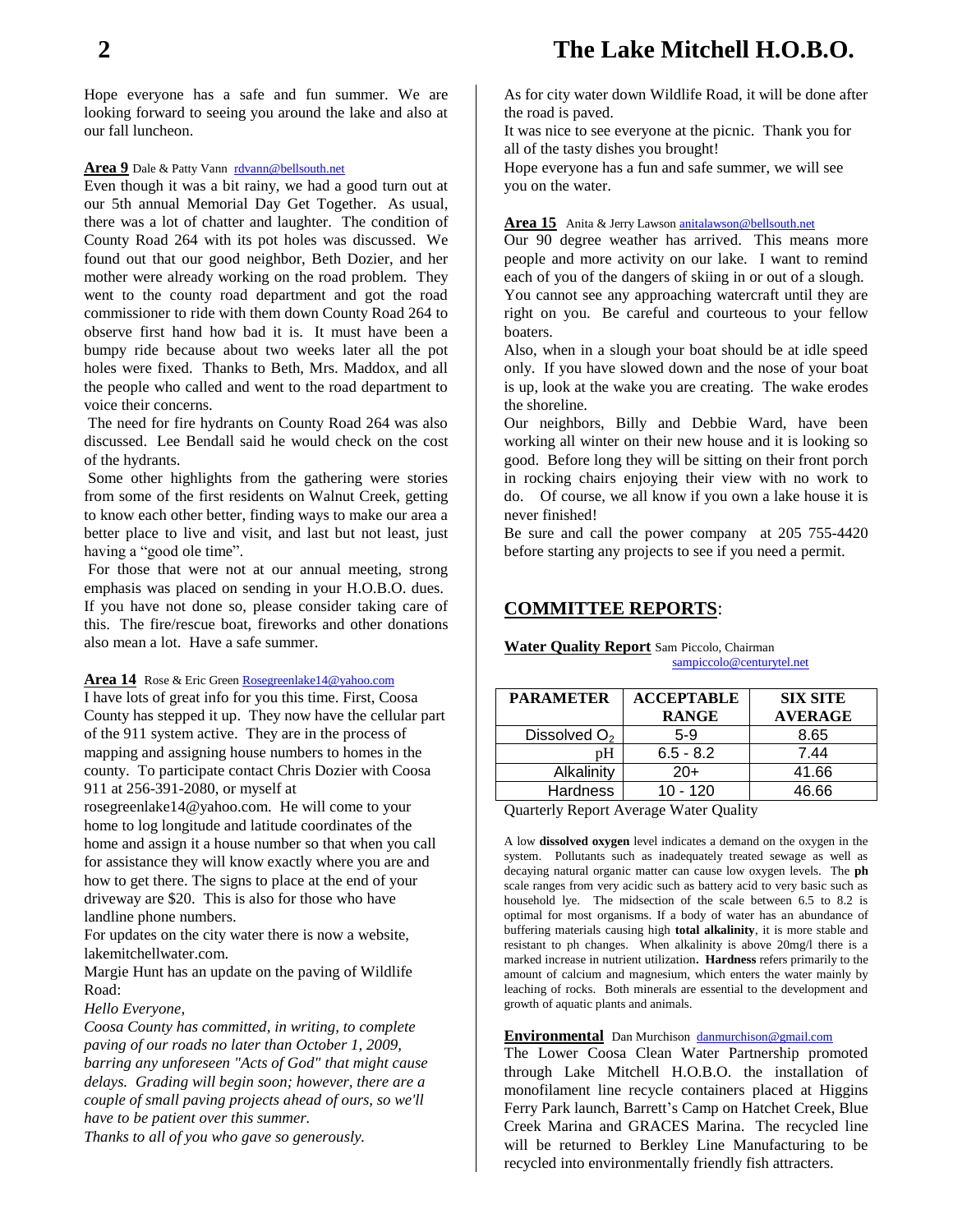Hope everyone has a safe and fun summer. We are looking forward to seeing you around the lake and also at our fall luncheon.

#### **Area 9** Dale & Patty Vann [rdvann@bellsouth.net](mailto:rdvann@bellsouth.net)

Even though it was a bit rainy, we had a good turn out at our 5th annual Memorial Day Get Together. As usual, there was a lot of chatter and laughter. The condition of County Road 264 with its pot holes was discussed. We found out that our good neighbor, Beth Dozier, and her mother were already working on the road problem. They went to the county road department and got the road commissioner to ride with them down County Road 264 to observe first hand how bad it is. It must have been a bumpy ride because about two weeks later all the pot holes were fixed. Thanks to Beth, Mrs. Maddox, and all the people who called and went to the road department to voice their concerns.

The need for fire hydrants on County Road 264 was also discussed. Lee Bendall said he would check on the cost of the hydrants.

Some other highlights from the gathering were stories from some of the first residents on Walnut Creek, getting to know each other better, finding ways to make our area a better place to live and visit, and last but not least, just having a "good ole time".

For those that were not at our annual meeting, strong emphasis was placed on sending in your H.O.B.O. dues. If you have not done so, please consider taking care of this. The fire/rescue boat, fireworks and other donations also mean a lot. Have a safe summer.

**Area 14** Rose & Eric Green [Rosegreenlake14@yahoo.com](mailto:Rosegreenlake14@yahoo.com)

I have lots of great info for you this time. First, Coosa County has stepped it up. They now have the cellular part of the 911 system active. They are in the process of mapping and assigning house numbers to homes in the county. To participate contact Chris Dozier with Coosa 911 at 256-391-2080, or myself at

rosegreenlake14@yahoo.com. He will come to your home to log longitude and latitude coordinates of the home and assign it a house number so that when you call for assistance they will know exactly where you are and how to get there. The signs to place at the end of your driveway are \$20. This is also for those who have landline phone numbers.

For updates on the city water there is now a website, lakemitchellwater.com.

Margie Hunt has an update on the paving of Wildlife Road:

#### *Hello Everyone,*

*Coosa County has committed, in writing, to complete paving of our roads no later than October 1, 2009, barring any unforeseen "Acts of God" that might cause delays. Grading will begin soon; however, there are a couple of small paving projects ahead of ours, so we'll have to be patient over this summer.*

*Thanks to all of you who gave so generously.*

As for city water down Wildlife Road, it will be done after the road is paved.

It was nice to see everyone at the picnic. Thank you for all of the tasty dishes you brought!

Hope everyone has a fun and safe summer, we will see you on the water.

#### Area 15 Anita & Jerry Lawson **[anitalawson@bellsouth.net](mailto:anitalawson@bellsouth.net)**

Our 90 degree weather has arrived. This means more people and more activity on our lake. I want to remind each of you of the dangers of skiing in or out of a slough. You cannot see any approaching watercraft until they are right on you. Be careful and courteous to your fellow boaters.

Also, when in a slough your boat should be at idle speed only. If you have slowed down and the nose of your boat is up, look at the wake you are creating. The wake erodes the shoreline.

Our neighbors, Billy and Debbie Ward, have been working all winter on their new house and it is looking so good. Before long they will be sitting on their front porch in rocking chairs enjoying their view with no work to do. Of course, we all know if you own a lake house it is never finished!

Be sure and call the power company at 205 755-4420 before starting any projects to see if you need a permit.

#### **COMMITTEE REPORTS**:

#### **Water Quality Report** Sam Piccolo, Chairman [sampiccolo@centurytel.net](mailto:sampiccolo@centurytel.net)

| <b>PARAMETER</b>         | <b>ACCEPTABLE</b><br><b>RANGE</b> | <b>SIX SITE</b><br><b>AVERAGE</b> |
|--------------------------|-----------------------------------|-----------------------------------|
| Dissolved O <sub>2</sub> | $5-9$                             | 8.65                              |
| pН                       | $6.5 - 8.2$                       | 7.44                              |
| Alkalinity               | $20+$                             | 41.66                             |
| Hardness                 | $10 - 120$                        | 46.66                             |

Quarterly Report Average Water Quality

A low **dissolved oxygen** level indicates a demand on the oxygen in the system. Pollutants such as inadequately treated sewage as well as decaying natural organic matter can cause low oxygen levels. The **ph** scale ranges from very acidic such as battery acid to very basic such as household lye. The midsection of the scale between 6.5 to 8.2 is optimal for most organisms. If a body of water has an abundance of buffering materials causing high **total alkalinity**, it is more stable and resistant to ph changes. When alkalinity is above 20mg/l there is a marked increase in nutrient utilization**. Hardness** refers primarily to the amount of calcium and magnesium, which enters the water mainly by leaching of rocks. Both minerals are essential to the development and growth of aquatic plants and animals.

#### **Environmental** Dan Murchison [danmurchison@gmail.com](mailto:danmurchison@gmail.com)

The Lower Coosa Clean Water Partnership promoted through Lake Mitchell H.O.B.O. the installation of monofilament line recycle containers placed at Higgins Ferry Park launch, Barrett's Camp on Hatchet Creek, Blue Creek Marina and GRACES Marina. The recycled line will be returned to Berkley Line Manufacturing to be recycled into environmentally friendly fish attracters.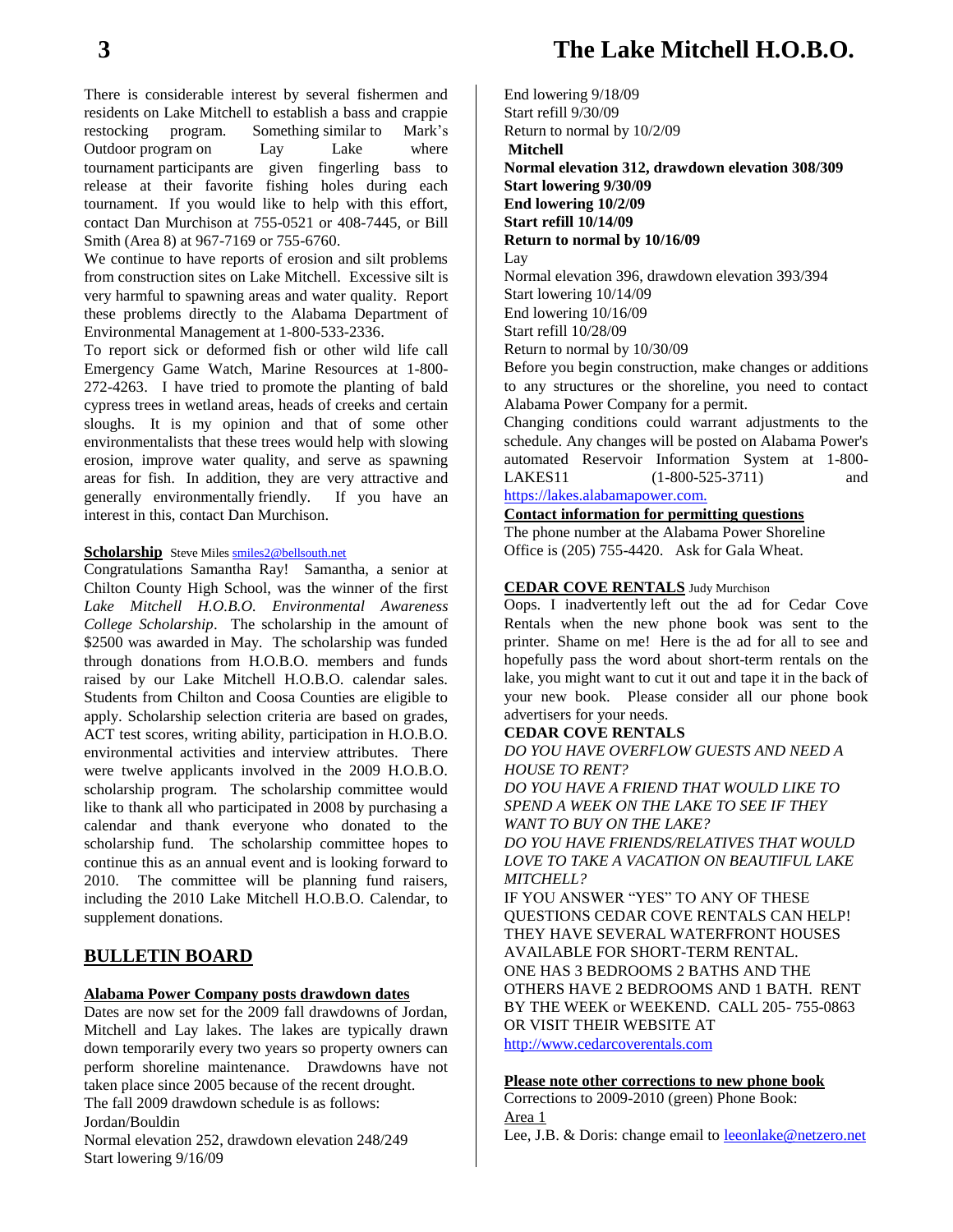## **3 The Lake Mitchell H.O.B.O.**

There is considerable interest by several fishermen and residents on Lake Mitchell to establish a bass and crappie restocking program. Something similar to Mark's Outdoor program on Lay Lake where tournament participants are given fingerling bass to release at their favorite fishing holes during each tournament. If you would like to help with this effort, contact Dan Murchison at 755-0521 or 408-7445, or Bill Smith (Area 8) at 967-7169 or 755-6760.

We continue to have reports of erosion and silt problems from construction sites on Lake Mitchell. Excessive silt is very harmful to spawning areas and water quality. Report these problems directly to the Alabama Department of Environmental Management at 1-800-533-2336.

To report sick or deformed fish or other wild life call Emergency Game Watch, Marine Resources at 1-800- 272-4263. I have tried to promote the planting of bald cypress trees in wetland areas, heads of creeks and certain sloughs. It is my opinion and that of some other environmentalists that these trees would help with slowing erosion, improve water quality, and serve as spawning areas for fish. In addition, they are very attractive and generally environmentally friendly. If you have an interest in this, contact Dan Murchison.

#### **Scholarship** Steve Miles **smiles2@bellsouth.net**

Congratulations Samantha Ray! Samantha, a senior at Chilton County High School, was the winner of the first *Lake Mitchell H.O.B.O. Environmental Awareness College Scholarship*. The scholarship in the amount of \$2500 was awarded in May. The scholarship was funded through donations from H.O.B.O. members and funds raised by our Lake Mitchell H.O.B.O. calendar sales. Students from Chilton and Coosa Counties are eligible to apply. Scholarship selection criteria are based on grades, ACT test scores, writing ability, participation in H.O.B.O. environmental activities and interview attributes. There were twelve applicants involved in the 2009 H.O.B.O. scholarship program. The scholarship committee would like to thank all who participated in 2008 by purchasing a calendar and thank everyone who donated to the scholarship fund. The scholarship committee hopes to continue this as an annual event and is looking forward to 2010. The committee will be planning fund raisers, including the 2010 Lake Mitchell H.O.B.O. Calendar, to supplement donations.

#### **BULLETIN BOARD**

#### **Alabama Power Company posts drawdown dates**

Dates are now set for the 2009 fall drawdowns of Jordan, Mitchell and Lay lakes. The lakes are typically drawn down temporarily every two years so property owners can perform shoreline maintenance. Drawdowns have not taken place since 2005 because of the recent drought. The fall 2009 drawdown schedule is as follows: Jordan/Bouldin Normal elevation 252, drawdown elevation 248/249 Start lowering 9/16/09

End lowering 9/18/09 Start refill 9/30/09 Return to normal by 10/2/09 **Mitchell Normal elevation 312, drawdown elevation 308/309 Start lowering 9/30/09 End lowering 10/2/09 Start refill 10/14/09 Return to normal by 10/16/09** Lay Normal elevation 396, drawdown elevation 393/394 Start lowering 10/14/09 End lowering 10/16/09 Start refill 10/28/09

Return to normal by 10/30/09

Before you begin construction, make changes or additions to any structures or the shoreline, you need to contact Alabama Power Company for a permit.

Changing conditions could warrant adjustments to the schedule. Any changes will be posted on Alabama Power's automated Reservoir Information System at 1-800- LAKES11 (1-800-525-3711) and [https://lakes.alabamapower.com.](https://lakes.alabamapower.com./)

#### **Contact information for permitting questions**

The phone number at the Alabama Power Shoreline Office is (205) 755-4420. Ask for Gala Wheat.

#### **CEDAR COVE RENTALS** Judy Murchison

Oops. I inadvertently left out the ad for Cedar Cove Rentals when the new phone book was sent to the printer. Shame on me! Here is the ad for all to see and hopefully pass the word about short-term rentals on the lake, you might want to cut it out and tape it in the back of your new book. Please consider all our phone book advertisers for your needs.

#### **CEDAR COVE RENTALS**

*DO YOU HAVE OVERFLOW GUESTS AND NEED A HOUSE TO RENT?*

*DO YOU HAVE A FRIEND THAT WOULD LIKE TO SPEND A WEEK ON THE LAKE TO SEE IF THEY WANT TO BUY ON THE LAKE? DO YOU HAVE FRIENDS/RELATIVES THAT WOULD* 

*LOVE TO TAKE A VACATION ON BEAUTIFUL LAKE MITCHELL?*

IF YOU ANSWER "YES" TO ANY OF THESE QUESTIONS CEDAR COVE RENTALS CAN HELP! THEY HAVE SEVERAL WATERFRONT HOUSES AVAILABLE FOR SHORT-TERM RENTAL. ONE HAS 3 BEDROOMS 2 BATHS AND THE OTHERS HAVE 2 BEDROOMS AND 1 BATH. RENT BY THE WEEK or WEEKEND. CALL 205- 755-0863 OR VISIT THEIR WEBSITE AT

[http://www.cedarcoverentals.com](http://www.cedarcoverentals.com/)

#### **Please note other corrections to new phone book**

Corrections to 2009-2010 (green) Phone Book: Area 1

Lee, J.B. & Doris: change email to **leeonlake@netzero.net**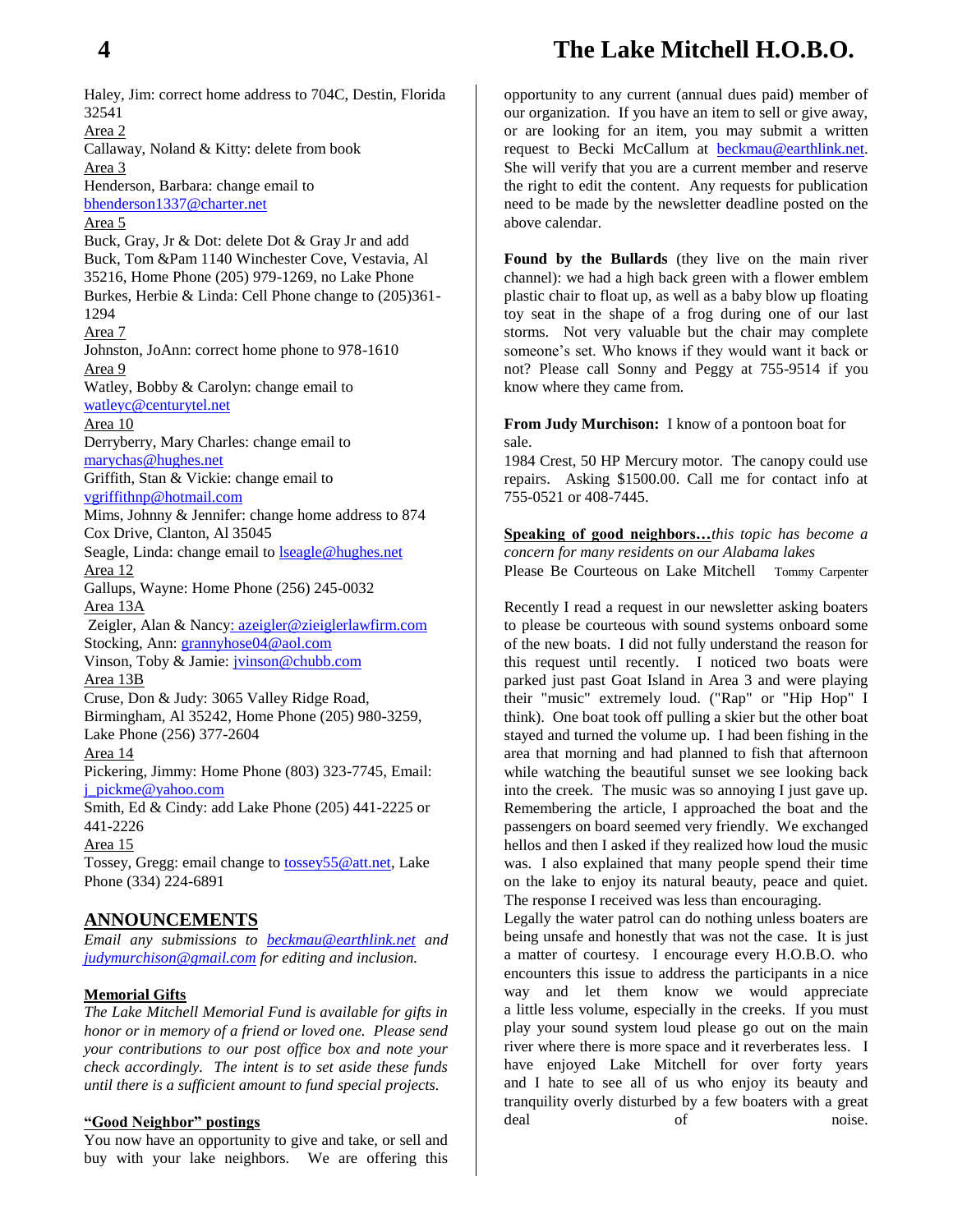## **4 The Lake Mitchell H.O.B.O.**

Haley, Jim: correct home address to 704C, Destin, Florida 32541 Area 2 Callaway, Noland & Kitty: delete from book Area 3 Henderson, Barbara: change email to [bhenderson1337@charter.net](mailto:bhenderson1337@charter.net) Area 5 Buck, Gray, Jr & Dot: delete Dot & Gray Jr and add Buck, Tom &Pam 1140 Winchester Cove, Vestavia, Al 35216, Home Phone (205) 979-1269, no Lake Phone Burkes, Herbie & Linda: Cell Phone change to (205)361- 1294 Area 7 Johnston, JoAnn: correct home phone to 978-1610 Area 9 Watley, Bobby & Carolyn: change email to [watleyc@centurytel.net](mailto:watleyc@centurytel.net) Area 10 Derryberry, Mary Charles: change email to [marychas@hughes.net](mailto:marychas@hughes.net) Griffith, Stan & Vickie: change email to [vgriffithnp@hotmail.com](mailto:vgriffithnp@hotmail.com) Mims, Johnny & Jennifer: change home address to 874 Cox Drive, Clanton, Al 35045 Seagle, Linda: change email to [lseagle@hughes.net](mailto:lseagle@hughes.net) Area 12 Gallups, Wayne: Home Phone (256) 245-0032 Area 13A Zeigler, Alan & Nanc[y: azeigler@zieiglerlawfirm.com](mailto::%20azeigler@zieiglerlawfirm.com) Stocking, Ann: [grannyhose04@aol.com](mailto:grannyhose04@aol.com) Vinson, Toby & Jamie: [jvinson@chubb.com](mailto:jvinson@chubb.com) Area 13B Cruse, Don & Judy: 3065 Valley Ridge Road, Birmingham, Al 35242, Home Phone (205) 980-3259, Lake Phone (256) 377-2604 Area 14 Pickering, Jimmy: Home Phone (803) 323-7745, Email: [j\\_pickme@yahoo.com](mailto:j_pickme@yahoo.com) Smith, Ed & Cindy: add Lake Phone (205) 441-2225 or 441-2226 Area 15 Tossey, Gregg: email change to **tossey55@att.net**, Lake Phone (334) 224-6891

#### **ANNOUNCEMENTS**

*Email any submissions to [beckmau@earthlink.net](mailto:beckmau@earthlink.net) and [judymurchison@gmail.com](mailto:judymurchison@gmail.com) for editing and inclusion.*

#### **Memorial Gifts**

*The Lake Mitchell Memorial Fund is available for gifts in honor or in memory of a friend or loved one. Please send your contributions to our post office box and note your check accordingly. The intent is to set aside these funds until there is a sufficient amount to fund special projects.*

#### **"Good Neighbor" postings**

You now have an opportunity to give and take, or sell and buy with your lake neighbors. We are offering this

opportunity to any current (annual dues paid) member of our organization. If you have an item to sell or give away, or are looking for an item, you may submit a written request to Becki McCallum at [beckmau@earthlink.net.](mailto:beckmau@earthlink.net) She will verify that you are a current member and reserve the right to edit the content. Any requests for publication need to be made by the newsletter deadline posted on the above calendar.

**Found by the Bullards** (they live on the main river channel): we had a high back green with a flower emblem plastic chair to float up, as well as a baby blow up floating toy seat in the shape of a frog during one of our last storms. Not very valuable but the chair may complete someone's set. Who knows if they would want it back or not? Please call Sonny and Peggy at 755-9514 if you know where they came from.

#### **From Judy Murchison:** I know of a pontoon boat for sale.

1984 Crest, 50 HP Mercury motor. The canopy could use repairs. Asking \$1500.00. Call me for contact info at 755-0521 or 408-7445.

**Speaking of good neighbors…***this topic has become a concern for many residents on our Alabama lakes*

Please Be Courteous on Lake Mitchell Tommy Carpenter

Recently I read a request in our newsletter asking boaters to please be courteous with sound systems onboard some of the new boats. I did not fully understand the reason for this request until recently. I noticed two boats were parked just past Goat Island in Area 3 and were playing their "music" extremely loud. ("Rap" or "Hip Hop" I think). One boat took off pulling a skier but the other boat stayed and turned the volume up. I had been fishing in the area that morning and had planned to fish that afternoon while watching the beautiful sunset we see looking back into the creek. The music was so annoying I just gave up. Remembering the article, I approached the boat and the passengers on board seemed very friendly. We exchanged hellos and then I asked if they realized how loud the music was. I also explained that many people spend their time on the lake to enjoy its natural beauty, peace and quiet. The response I received was less than encouraging.

Legally the water patrol can do nothing unless boaters are being unsafe and honestly that was not the case. It is just a matter of courtesy. I encourage every H.O.B.O. who encounters this issue to address the participants in a nice way and let them know we would appreciate a little less volume, especially in the creeks. If you must play your sound system loud please go out on the main river where there is more space and it reverberates less. I have enjoyed Lake Mitchell for over forty years and I hate to see all of us who enjoy its beauty and tranquility overly disturbed by a few boaters with a great deal of noise.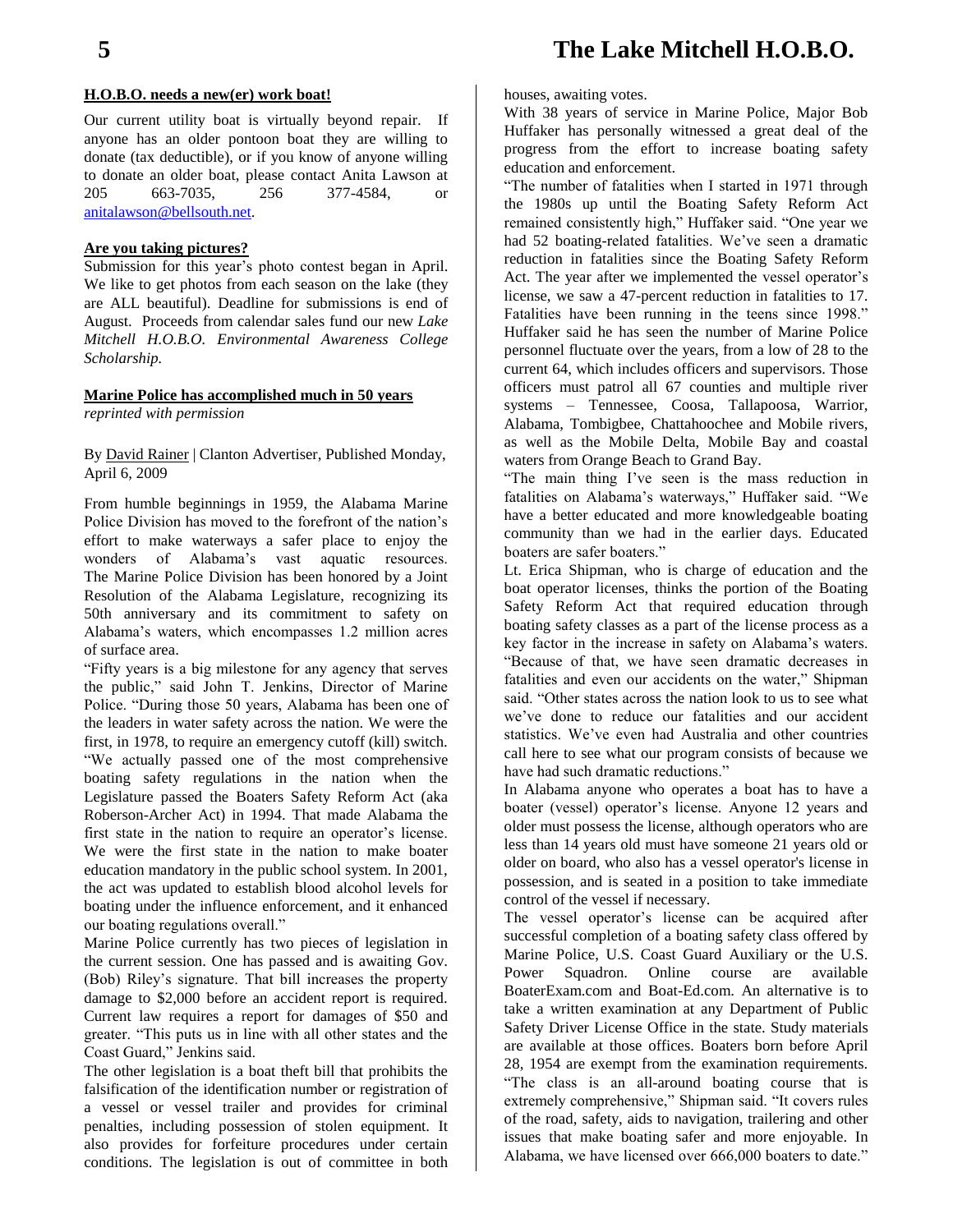#### **H.O.B.O. needs a new(er) work boat!**

Our current utility boat is virtually beyond repair. If anyone has an older pontoon boat they are willing to donate (tax deductible), or if you know of anyone willing to donate an older boat, please contact Anita Lawson at 205 663-7035, 256 377-4584, or [anitalawson@bellsouth.net.](mailto:anitalawson@bellsouth.net)

#### **Are you taking pictures?**

Submission for this year's photo contest began in April. We like to get photos from each season on the lake (they are ALL beautiful). Deadline for submissions is end of August. Proceeds from calendar sales fund our new *Lake Mitchell H.O.B.O. Environmental Awareness College Scholarship.*

#### **Marine Police has accomplished much in 50 years** *reprinted with permission*

By [David Rainer](http://www.clantonadvertiser.com/staff/david-rainer/) | Clanton Advertiser, Published Monday, April 6, 2009

From humble beginnings in 1959, the Alabama Marine Police Division has moved to the forefront of the nation's effort to make waterways a safer place to enjoy the wonders of Alabama's vast aquatic resources. The Marine Police Division has been honored by a Joint Resolution of the Alabama Legislature, recognizing its 50th anniversary and its commitment to safety on Alabama's waters, which encompasses 1.2 million acres of surface area.

"Fifty years is a big milestone for any agency that serves the public," said John T. Jenkins, Director of Marine Police. "During those 50 years, Alabama has been one of the leaders in water safety across the nation. We were the first, in 1978, to require an emergency cutoff (kill) switch. "We actually passed one of the most comprehensive boating safety regulations in the nation when the Legislature passed the Boaters Safety Reform Act (aka Roberson-Archer Act) in 1994. That made Alabama the first state in the nation to require an operator's license. We were the first state in the nation to make boater education mandatory in the public school system. In 2001, the act was updated to establish blood alcohol levels for boating under the influence enforcement, and it enhanced our boating regulations overall."

Marine Police currently has two pieces of legislation in the current session. One has passed and is awaiting Gov. (Bob) Riley's signature. That bill increases the property damage to \$2,000 before an accident report is required. Current law requires a report for damages of \$50 and greater. "This puts us in line with all other states and the Coast Guard," Jenkins said.

The other legislation is a boat theft bill that prohibits the falsification of the identification number or registration of a vessel or vessel trailer and provides for criminal penalties, including possession of stolen equipment. It also provides for forfeiture procedures under certain conditions. The legislation is out of committee in both houses, awaiting votes.

With 38 years of service in Marine Police, Major Bob Huffaker has personally witnessed a great deal of the progress from the effort to increase boating safety education and enforcement.

"The number of fatalities when I started in 1971 through the 1980s up until the Boating Safety Reform Act remained consistently high," Huffaker said. "One year we had 52 boating-related fatalities. We've seen a dramatic reduction in fatalities since the Boating Safety Reform Act. The year after we implemented the vessel operator's license, we saw a 47-percent reduction in fatalities to 17. Fatalities have been running in the teens since 1998." Huffaker said he has seen the number of Marine Police personnel fluctuate over the years, from a low of 28 to the current 64, which includes officers and supervisors. Those officers must patrol all 67 counties and multiple river systems – Tennessee, Coosa, Tallapoosa, Warrior, Alabama, Tombigbee, Chattahoochee and Mobile rivers, as well as the Mobile Delta, Mobile Bay and coastal waters from Orange Beach to Grand Bay.

"The main thing I've seen is the mass reduction in fatalities on Alabama's waterways," Huffaker said. "We have a better educated and more knowledgeable boating community than we had in the earlier days. Educated boaters are safer boaters."

Lt. Erica Shipman, who is charge of education and the boat operator licenses, thinks the portion of the Boating Safety Reform Act that required education through boating safety classes as a part of the license process as a key factor in the increase in safety on Alabama's waters. "Because of that, we have seen dramatic decreases in fatalities and even our accidents on the water," Shipman said. "Other states across the nation look to us to see what we've done to reduce our fatalities and our accident statistics. We've even had Australia and other countries call here to see what our program consists of because we have had such dramatic reductions."

In Alabama anyone who operates a boat has to have a boater (vessel) operator's license. Anyone 12 years and older must possess the license, although operators who are less than 14 years old must have someone 21 years old or older on board, who also has a vessel operator's license in possession, and is seated in a position to take immediate control of the vessel if necessary.

The vessel operator's license can be acquired after successful completion of a boating safety class offered by Marine Police, U.S. Coast Guard Auxiliary or the U.S. Power Squadron. Online course are available BoaterExam.com and Boat-Ed.com. An alternative is to take a written examination at any Department of Public Safety Driver License Office in the state. Study materials are available at those offices. Boaters born before April 28, 1954 are exempt from the examination requirements. "The class is an all-around boating course that is extremely comprehensive," Shipman said. "It covers rules of the road, safety, aids to navigation, trailering and other issues that make boating safer and more enjoyable. In Alabama, we have licensed over 666,000 boaters to date."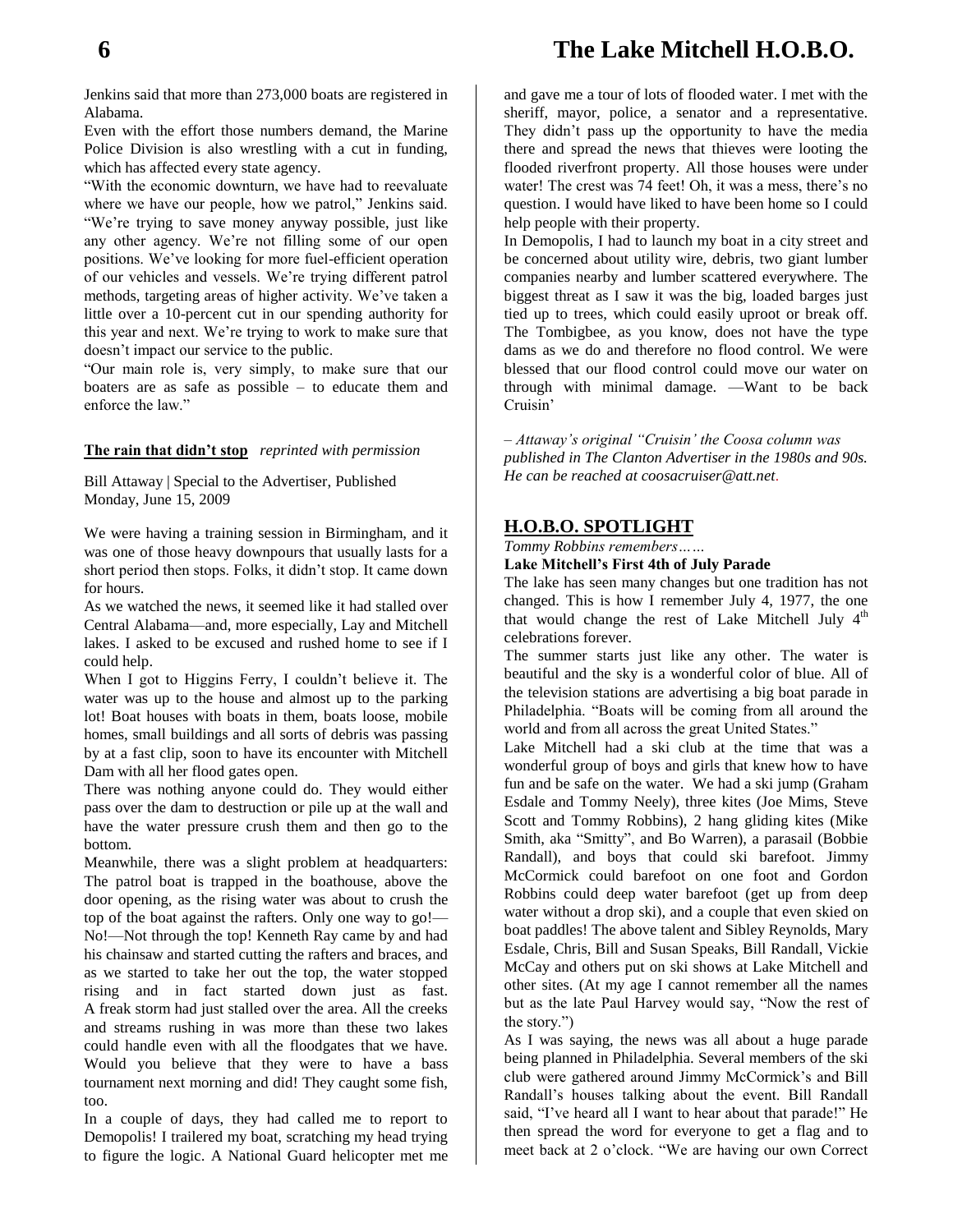Jenkins said that more than 273,000 boats are registered in Alabama.

Even with the effort those numbers demand, the Marine Police Division is also wrestling with a cut in funding, which has affected every state agency.

"With the economic downturn, we have had to reevaluate where we have our people, how we patrol," Jenkins said. "We're trying to save money anyway possible, just like any other agency. We're not filling some of our open positions. We've looking for more fuel-efficient operation of our vehicles and vessels. We're trying different patrol methods, targeting areas of higher activity. We've taken a little over a 10-percent cut in our spending authority for this year and next. We're trying to work to make sure that doesn't impact our service to the public.

"Our main role is, very simply, to make sure that our boaters are as safe as possible – to educate them and enforce the law."

#### **The rain that didn't stop** *reprinted with permission*

Bill Attaway | Special to the Advertiser, Published Monday, June 15, 2009

We were having a training session in Birmingham, and it was one of those heavy downpours that usually lasts for a short period then stops. Folks, it didn't stop. It came down for hours.

As we watched the news, it seemed like it had stalled over Central Alabama—and, more especially, Lay and Mitchell lakes. I asked to be excused and rushed home to see if I could help.

When I got to Higgins Ferry, I couldn't believe it. The water was up to the house and almost up to the parking lot! Boat houses with boats in them, boats loose, mobile homes, small buildings and all sorts of debris was passing by at a fast clip, soon to have its encounter with Mitchell Dam with all her flood gates open.

There was nothing anyone could do. They would either pass over the dam to destruction or pile up at the wall and have the water pressure crush them and then go to the bottom.

Meanwhile, there was a slight problem at headquarters: The patrol boat is trapped in the boathouse, above the door opening, as the rising water was about to crush the top of the boat against the rafters. Only one way to go!— No!—Not through the top! Kenneth Ray came by and had his chainsaw and started cutting the rafters and braces, and as we started to take her out the top, the water stopped rising and in fact started down just as fast. A freak storm had just stalled over the area. All the creeks and streams rushing in was more than these two lakes could handle even with all the floodgates that we have. Would you believe that they were to have a bass tournament next morning and did! They caught some fish, too.

In a couple of days, they had called me to report to Demopolis! I trailered my boat, scratching my head trying to figure the logic. A National Guard helicopter met me and gave me a tour of lots of flooded water. I met with the sheriff, mayor, police, a senator and a representative. They didn't pass up the opportunity to have the media there and spread the news that thieves were looting the flooded riverfront property. All those houses were under water! The crest was 74 feet! Oh, it was a mess, there's no question. I would have liked to have been home so I could help people with their property.

In Demopolis, I had to launch my boat in a city street and be concerned about utility wire, debris, two giant lumber companies nearby and lumber scattered everywhere. The biggest threat as I saw it was the big, loaded barges just tied up to trees, which could easily uproot or break off. The Tombigbee, as you know, does not have the type dams as we do and therefore no flood control. We were blessed that our flood control could move our water on through with minimal damage. —Want to be back Cruisin'

*– Attaway's original "Cruisin' the Coosa column was published in The Clanton Advertiser in the 1980s and 90s. He can be reached at coosacruiser@att.net.*

#### **H.O.B.O. SPOTLIGHT**

*Tommy Robbins remembers……*

#### **Lake Mitchell's First 4th of July Parade**

The lake has seen many changes but one tradition has not changed. This is how I remember July 4, 1977, the one that would change the rest of Lake Mitchell July 4<sup>th</sup> celebrations forever.

The summer starts just like any other. The water is beautiful and the sky is a wonderful color of blue. All of the television stations are advertising a big boat parade in Philadelphia. "Boats will be coming from all around the world and from all across the great United States."

Lake Mitchell had a ski club at the time that was a wonderful group of boys and girls that knew how to have fun and be safe on the water. We had a ski jump (Graham Esdale and Tommy Neely), three kites (Joe Mims, Steve Scott and Tommy Robbins), 2 hang gliding kites (Mike Smith, aka "Smitty", and Bo Warren), a parasail (Bobbie Randall), and boys that could ski barefoot. Jimmy McCormick could barefoot on one foot and Gordon Robbins could deep water barefoot (get up from deep water without a drop ski), and a couple that even skied on boat paddles! The above talent and Sibley Reynolds, Mary Esdale, Chris, Bill and Susan Speaks, Bill Randall, Vickie McCay and others put on ski shows at Lake Mitchell and other sites. (At my age I cannot remember all the names but as the late Paul Harvey would say, "Now the rest of the story.")

As I was saying, the news was all about a huge parade being planned in Philadelphia. Several members of the ski club were gathered around Jimmy McCormick's and Bill Randall's houses talking about the event. Bill Randall said, "I've heard all I want to hear about that parade!" He then spread the word for everyone to get a flag and to meet back at 2 o'clock. "We are having our own Correct